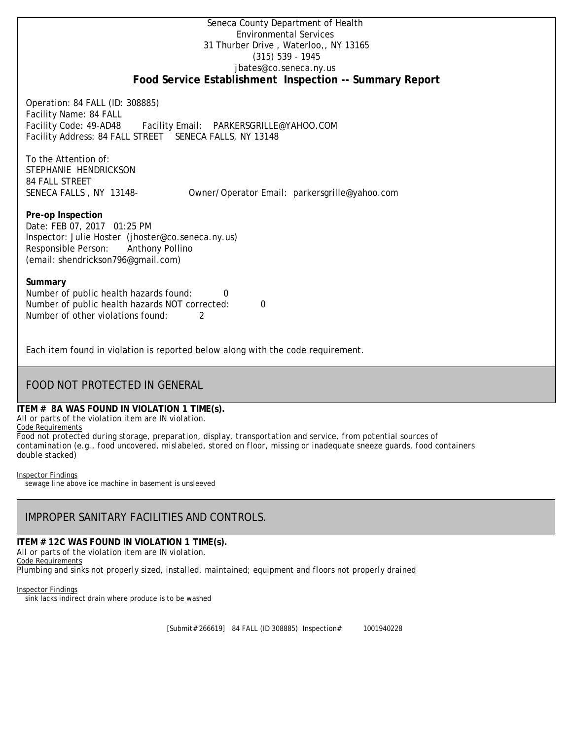## Seneca County Department of Health Environmental Services 31 Thurber Drive , Waterloo,, NY 13165 (315) 539 - 1945 [jbates@co.seneca.ny.us](mailto:jbates@co.seneca.ny.us) **Food Service Establishment Inspection -- Summary Report**

Operation: 84 FALL (ID: 308885) Facility Name: 84 FALL Facility Code: 49-AD48 Facility Email: [PARKERSGRILLE@YAHOO.COM](mailto:PARKERSGRILLE@YAHOO.COM) Facility Address: 84 FALL STREET SENECA FALLS, NY 13148

To the Attention of: STEPHANIE HENDRICKSON 84 FALL STREET

SENECA FALLS , NY 13148- [Owner/Operator Email: parkersgrille@yahoo.com](mailto:parkersgrille@yahoo.com)

**Pre-op Inspection** Date: FEB 07, 2017 01:25 PM Inspector: Julie Hoster (jhoster@co.seneca.ny.us) Responsible Person: Anthony Pollino (email: shendrickson796@gmail.com)

### **Summary**

Number of public health hazards found: 0 Number of public health hazards NOT corrected: 0 Number of other violations found: 2

Each item found in violation is reported below along with the code requirement.

# FOOD NOT PROTECTED IN GENERAL

# **ITEM # 8A WAS FOUND IN VIOLATION 1 TIME(s).**

*All or parts of the violation item are IN violation.*

Code Requirements

*Food not protected during storage, preparation, display, transportation and service, from potential sources of contamination (e.g., food uncovered, mislabeled, stored on floor, missing or inadequate sneeze guards, food containers double stacked)*

Inspector Findings

sewage line above ice machine in basement is unsleeved

# IMPROPER SANITARY FACILITIES AND CONTROLS.

**ITEM # 12C WAS FOUND IN VIOLATION 1 TIME(s).** *All or parts of the violation item are IN violation.* Code Requirements *Plumbing and sinks not properly sized, installed, maintained; equipment and floors not properly drained*

Inspector Findings sink lacks indirect drain where produce is to be washed

[Submit# 266619] 84 FALL (ID 308885) Inspection# 1001940228